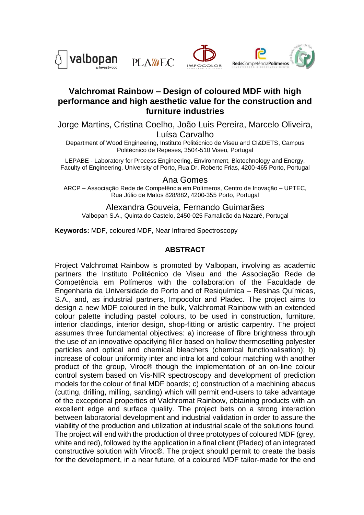





## **Valchromat Rainbow – Design of coloured MDF with high performance and high aesthetic value for the construction and furniture industries**

Jorge Martins, Cristina Coelho, João Luis Pereira, Marcelo Oliveira,

Luísa Carvalho

Department of Wood Engineering, Instituto Politécnico de Viseu and CI&DETS, Campus Politécnico de Repeses, 3504-510 Viseu, Portugal

LEPABE - Laboratory for Process Engineering, Environment, Biotechnology and Energy, Faculty of Engineering, University of Porto, Rua Dr. Roberto Frias, 4200-465 Porto, Portugal

Ana Gomes

ARCP – Associação Rede de Competência em Polímeros, Centro de Inovação – UPTEC, Rua Júlio de Matos 828/882, 4200-355 Porto, Portugal

Alexandra Gouveia, Fernando Guimarães Valbopan S.A., Quinta do Castelo, 2450-025 Famalicão da Nazaré, Portugal

**Keywords:** MDF, coloured MDF, Near Infrared Spectroscopy

## **ABSTRACT**

Project Valchromat Rainbow is promoted by Valbopan, involving as academic partners the Instituto Politécnico de Viseu and the Associação Rede de Competência em Polímeros with the collaboration of the Faculdade de Engenharia da Universidade do Porto and of Resiquímica – Resinas Químicas, S.A., and, as industrial partners, Impocolor and Pladec. The project aims to design a new MDF coloured in the bulk, Valchromat Rainbow with an extended colour palette including pastel colours, to be used in construction, furniture, interior claddings, interior design, shop-fitting or artistic carpentry. The project assumes three fundamental objectives: a) increase of fibre brightness through the use of an innovative opacifying filler based on hollow thermosetting polyester particles and optical and chemical bleachers (chemical functionalisation); b) increase of colour uniformity inter and intra lot and colour matching with another product of the group, Viroc® though the implementation of an on-line colour control system based on Vis-NIR spectroscopy and development of prediction models for the colour of final MDF boards; c) construction of a machining abacus (cutting, drilling, milling, sanding) which will permit end-users to take advantage of the exceptional properties of Valchromat Rainbow, obtaining products with an excellent edge and surface quality. The project bets on a strong interaction between laboratorial development and industrial validation in order to assure the viability of the production and utilization at industrial scale of the solutions found. The project will end with the production of three prototypes of coloured MDF (grey, white and red), followed by the application in a final client (Pladec) of an integrated constructive solution with Viroc®. The project should permit to create the basis for the development, in a near future, of a coloured MDF tailor-made for the end